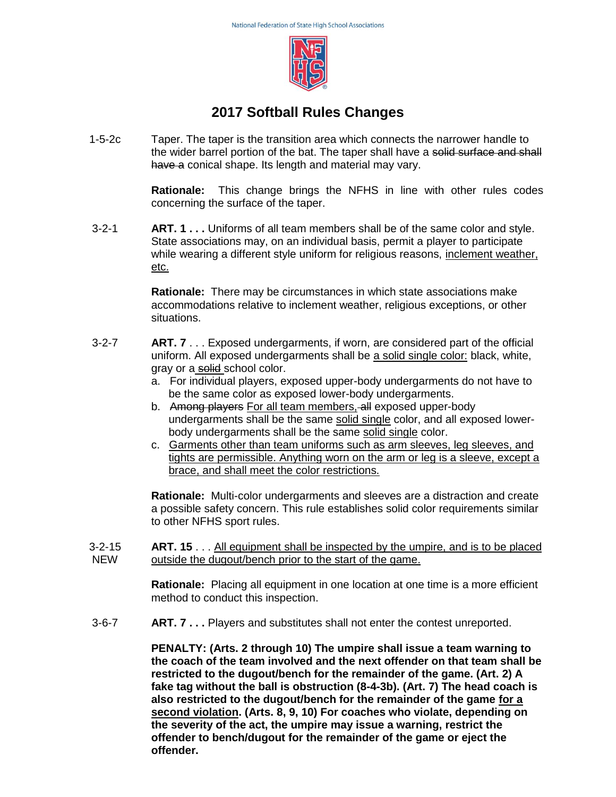

## **2017 Softball Rules Changes**

1-5-2c Taper. The taper is the transition area which connects the narrower handle to the wider barrel portion of the bat. The taper shall have a solid surface and shall have a conical shape. Its length and material may vary.

> **Rationale:** This change brings the NFHS in line with other rules codes concerning the surface of the taper.

3-2-1 **ART. 1 . . .** Uniforms of all team members shall be of the same color and style. State associations may, on an individual basis, permit a player to participate while wearing a different style uniform for religious reasons, inclement weather, etc.

> **Rationale:** There may be circumstances in which state associations make accommodations relative to inclement weather, religious exceptions, or other situations.

- 3-2-7 **ART. 7** . . . Exposed undergarments, if worn, are considered part of the official uniform. All exposed undergarments shall be a solid single color: black, white, gray or a solid school color.
	- a. For individual players, exposed upper-body undergarments do not have to be the same color as exposed lower-body undergarments.
	- b. Among players For all team members, all exposed upper-body undergarments shall be the same solid single color, and all exposed lowerbody undergarments shall be the same solid single color.
	- c. Garments other than team uniforms such as arm sleeves, leg sleeves, and tights are permissible. Anything worn on the arm or leg is a sleeve, except a brace, and shall meet the color restrictions.

**Rationale:** Multi-color undergarments and sleeves are a distraction and create a possible safety concern. This rule establishes solid color requirements similar to other NFHS sport rules.

3-2-15 NEW **ART. 15** . . . All equipment shall be inspected by the umpire, and is to be placed outside the dugout/bench prior to the start of the game.

> **Rationale:** Placing all equipment in one location at one time is a more efficient method to conduct this inspection.

3-6-7 **ART. 7 . . .** Players and substitutes shall not enter the contest unreported.

**PENALTY: (Arts. 2 through 10) The umpire shall issue a team warning to the coach of the team involved and the next offender on that team shall be restricted to the dugout/bench for the remainder of the game. (Art. 2) A fake tag without the ball is obstruction (8-4-3b). (Art. 7) The head coach is also restricted to the dugout/bench for the remainder of the game for a second violation. (Arts. 8, 9, 10) For coaches who violate, depending on the severity of the act, the umpire may issue a warning, restrict the offender to bench/dugout for the remainder of the game or eject the offender.**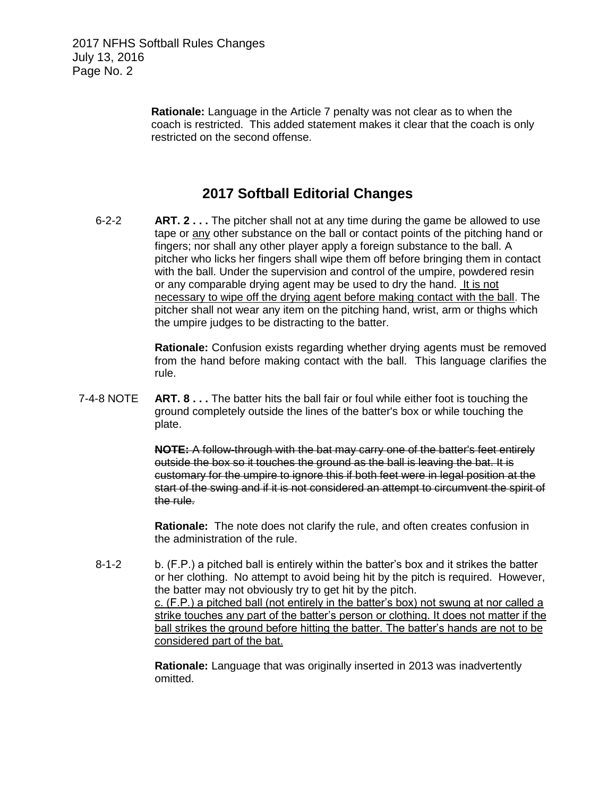**Rationale:** Language in the Article 7 penalty was not clear as to when the coach is restricted. This added statement makes it clear that the coach is only restricted on the second offense.

## **2017 Softball Editorial Changes**

6-2-2 **ART. 2 . . .** The pitcher shall not at any time during the game be allowed to use tape or any other substance on the ball or contact points of the pitching hand or fingers; nor shall any other player apply a foreign substance to the ball. A pitcher who licks her fingers shall wipe them off before bringing them in contact with the ball. Under the supervision and control of the umpire, powdered resin or any comparable drying agent may be used to dry the hand. It is not necessary to wipe off the drying agent before making contact with the ball. The pitcher shall not wear any item on the pitching hand, wrist, arm or thighs which the umpire judges to be distracting to the batter.

> **Rationale:** Confusion exists regarding whether drying agents must be removed from the hand before making contact with the ball. This language clarifies the rule.

7-4-8 NOTE **ART. 8 . . .** The batter hits the ball fair or foul while either foot is touching the ground completely outside the lines of the batter's box or while touching the plate.

> **NOTE:** A follow-through with the bat may carry one of the batter's feet entirely outside the box so it touches the ground as the ball is leaving the bat. It is customary for the umpire to ignore this if both feet were in legal position at the start of the swing and if it is not considered an attempt to circumvent the spirit of the rule.

**Rationale:** The note does not clarify the rule, and often creates confusion in the administration of the rule.

8-1-2 b. (F.P.) a pitched ball is entirely within the batter's box and it strikes the batter or her clothing. No attempt to avoid being hit by the pitch is required. However, the batter may not obviously try to get hit by the pitch. c. (F.P.) a pitched ball (not entirely in the batter's box) not swung at nor called a strike touches any part of the batter's person or clothing. It does not matter if the ball strikes the ground before hitting the batter. The batter's hands are not to be considered part of the bat.

> **Rationale:** Language that was originally inserted in 2013 was inadvertently omitted.